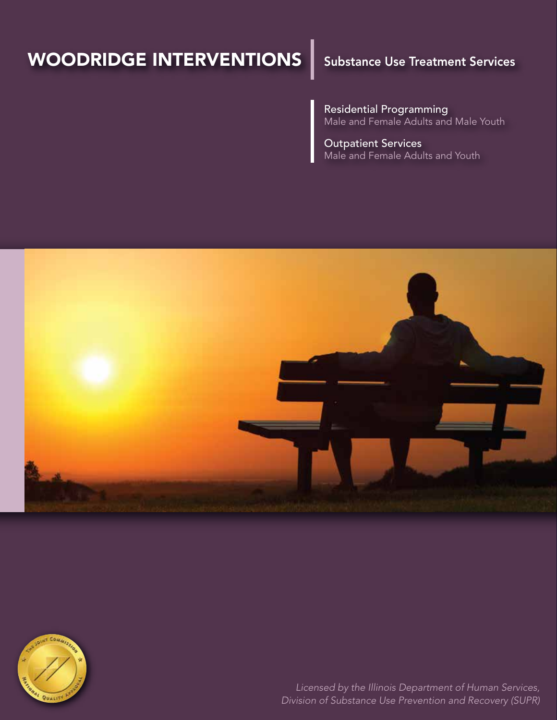# WOODRIDGE INTERVENTIONS

## Substance Use Treatment Services

Residential Programming Male and Female Adults and Male Youth

Outpatient Services Male and Female Adults and Youth





*Licensed by the Illinois Department of Human Services, Division of Substance Use Prevention and Recovery (SUPR)*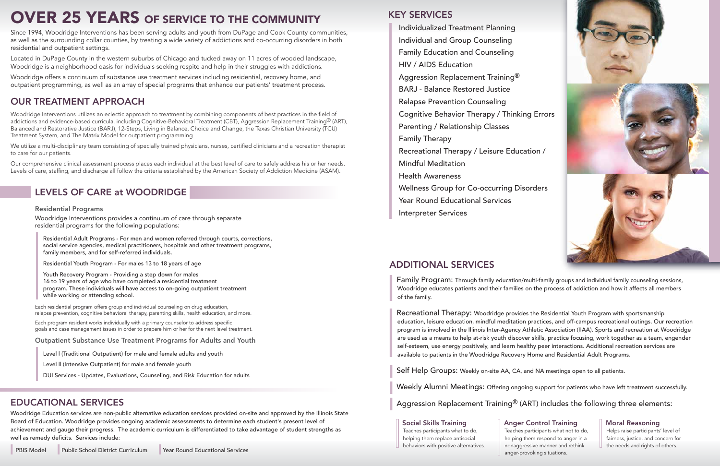# OVER 25 YEARS OF SERVICE TO THE COMMUNITY

Since 1994, Woodridge Interventions has been serving adults and youth from DuPage and Cook County communities, as well as the surrounding collar counties, by treating a wide variety of addictions and co-occurring disorders in both residential and outpatient settings.

Located in DuPage County in the western suburbs of Chicago and tucked away on 11 acres of wooded landscape, Woodridge is a neighborhood oasis for individuals seeking respite and help in their struggles with addictions.

Woodridge offers a continuum of substance use treatment services including residential, recovery home, and outpatient programming, as well as an array of special programs that enhance our patients' treatment process.

We utilize a multi-disciplinary team consisting of specially trained physicians, nurses, certified clinicians and a recreation therapist to care for our patients.

## OUR TREATMENT APPROACH

Woodridge Interventions utilizes an eclectic approach to treatment by combining components of best practices in the field of addictions and evidence-based curricula, including Cognitive-Behavioral Treatment (CBT), Aggression Replacement Training® (ART), Balanced and Restorative Justice (BARJ), 12-Steps, Living in Balance, Choice and Change, the Texas Christian University (TCU) Treatment System, and The Matrix Model for outpatient programming.

Residential Programs<br>Woodridge Interventions provides a continuum of care through separate residential programs for the following populations:

Our comprehensive clinical assessment process places each individual at the best level of care to safely address his or her needs. Levels of care, staffing, and discharge all follow the criteria established by the American Society of Addiction Medicine (ASAM).

## LEVELS OF CARE at WOODRIDGE

### KEY SERVICES

**Family Program:** Through family education/multi-family groups and individual family counseling sessions, Woodridge educates patients and their families on the process of addiction and how it affects all members of the family.

 Individualized Treatment Planning Individual and Group Counseling Family Education and Counseling HIV / AIDS Education Aggression Replacement Training® BARJ - Balance Restored Justice Relapse Prevention Counseling Cognitive Behavior Therapy / Thinking Errors Parenting / Relationship Classes Family Therapy Recreational Therapy / Leisure Education / Mindful Meditation Health Awareness Wellness Group for Co-occurring Disorders Year Round Educational Services

 Residential Adult Programs - For men and women referred through courts, corrections, social service agencies, medical practitioners, hospitals and other treatment programs, family members, and for self-referred individuals.

Residential Youth Program - For males 13 to 18 years of age

 Youth Recovery Program - Providing a step down for males 16 to 19 years of age who have completed a residential treatment program. These individuals will have access to on-going outpatient treatment while working or attending school.

Each residential program offers group and individual counseling on drug education, relapse prevention, cognitive behavioral therapy, parenting skills, health education, and more.

Each program resident works individually with a primary counselor to address specific goals and case management issues in order to prepare him or her for the next level treatment.

Outpatient Substance Use Treatment Programs for Adults and Youth

Level l (Traditional Outpatient) for male and female adults and youth

Level ll (Intensive Outpatient) for male and female youth

DUI Services - Updates, Evaluations, Counseling, and Risk Education for adults

### ADDITIONAL SERVICES

❙

❙

Recreational Therapy: Woodridge provides the Residential Youth Program with sportsmanship education, leisure education, mindful meditation practices, and off-campus recreational outings. Our recreation program is involved in the Illinois Inter-Agency Athletic Association (IIAA). Sports and recreation at Woodridge are used as a means to help at-risk youth discover skills, practice focusing, work together as a team, engender self-esteem, use energy positively, and learn healthy peer interactions. Additional recreation services are available to patients in the Woodridge Recovery Home and Residential Adult Programs.

Self Help Groups: Weekly on-site AA, CA, and NA meetings open to all patients.

Weekly Alumni Meetings: Offering ongoing support for patients who have left treatment successfully.

Aggression Replacement Training® (ART) includes the following three elements:

#### Social Skills Training

 Teaches participants what to do, helping them replace antisocial behaviors with positive alternatives. Anger Control Training Teaches participants what not to do, helping them respond to anger in a nonaggressive manner and rethink anger-provoking situations.



#### Moral Reasoning

 Helps raise participants' level of fairness, justice, and concern for the needs and rights of others.

#### EDUCATIONAL SERVICES

Woodridge Education services are non-public alternative education services provided on-site and approved by the Illinois State Board of Education. Woodridge provides ongoing academic assessments to determine each student's present level of achievement and gauge their progress. The academic curriculum is differentiated to take advantage of student strengths as well as remedy deficits. Services include: